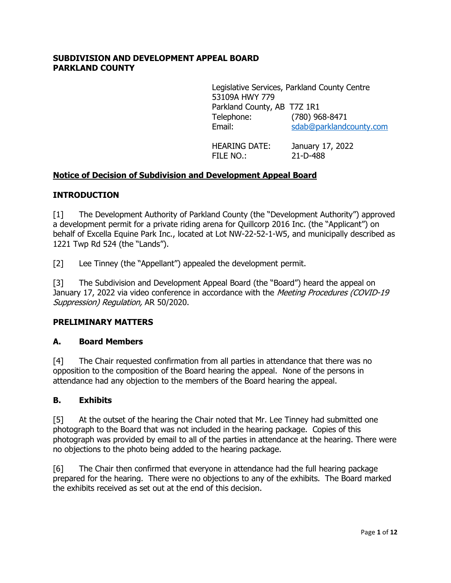#### **SUBDIVISION AND DEVELOPMENT APPEAL BOARD PARKLAND COUNTY**

Legislative Services, Parkland County Centre 53109A HWY 779 Parkland County, AB T7Z 1R1 Telephone: (780) 968-8471 Email: [sdab@parklandcounty.com](mailto:sdab@parklandcounty.com)

HEARING DATE: January 17, 2022 FILE NO.: 21-D-488

### **Notice of Decision of Subdivision and Development Appeal Board**

#### **INTRODUCTION**

[1] The Development Authority of Parkland County (the "Development Authority") approved a development permit for a private riding arena for Quillcorp 2016 Inc. (the "Applicant") on behalf of Excella Equine Park Inc., located at Lot NW-22-52-1-W5, and municipally described as 1221 Twp Rd 524 (the "Lands").

[2] Lee Tinney (the "Appellant") appealed the development permit.

[3] The Subdivision and Development Appeal Board (the "Board") heard the appeal on January 17, 2022 via video conference in accordance with the Meeting Procedures (COVID-19 Suppression) Regulation, AR 50/2020.

#### **PRELIMINARY MATTERS**

#### **A. Board Members**

[4] The Chair requested confirmation from all parties in attendance that there was no opposition to the composition of the Board hearing the appeal. None of the persons in attendance had any objection to the members of the Board hearing the appeal.

#### **B. Exhibits**

[5] At the outset of the hearing the Chair noted that Mr. Lee Tinney had submitted one photograph to the Board that was not included in the hearing package. Copies of this photograph was provided by email to all of the parties in attendance at the hearing. There were no objections to the photo being added to the hearing package.

[6] The Chair then confirmed that everyone in attendance had the full hearing package prepared for the hearing. There were no objections to any of the exhibits. The Board marked the exhibits received as set out at the end of this decision.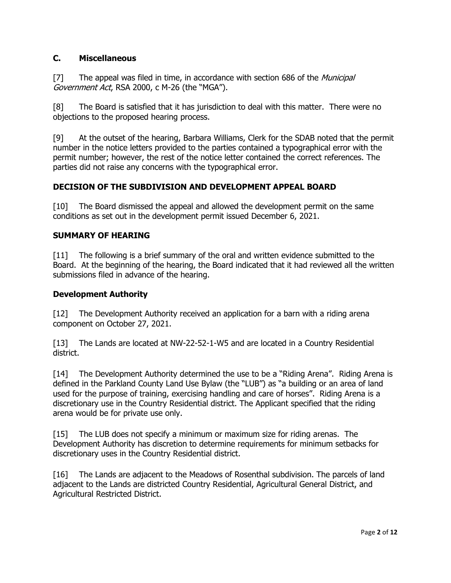## **C. Miscellaneous**

[7] The appeal was filed in time, in accordance with section 686 of the *Municipal* Government Act, RSA 2000, c M-26 (the "MGA").

[8] The Board is satisfied that it has jurisdiction to deal with this matter. There were no objections to the proposed hearing process.

[9] At the outset of the hearing, Barbara Williams, Clerk for the SDAB noted that the permit number in the notice letters provided to the parties contained a typographical error with the permit number; however, the rest of the notice letter contained the correct references. The parties did not raise any concerns with the typographical error.

# **DECISION OF THE SUBDIVISION AND DEVELOPMENT APPEAL BOARD**

[10] The Board dismissed the appeal and allowed the development permit on the same conditions as set out in the development permit issued December 6, 2021.

## **SUMMARY OF HEARING**

[11] The following is a brief summary of the oral and written evidence submitted to the Board. At the beginning of the hearing, the Board indicated that it had reviewed all the written submissions filed in advance of the hearing.

#### **Development Authority**

[12] The Development Authority received an application for a barn with a riding arena component on October 27, 2021.

[13] The Lands are located at NW-22-52-1-W5 and are located in a Country Residential district.

[14] The Development Authority determined the use to be a "Riding Arena". Riding Arena is defined in the Parkland County Land Use Bylaw (the "LUB") as "a building or an area of land used for the purpose of training, exercising handling and care of horses". Riding Arena is a discretionary use in the Country Residential district. The Applicant specified that the riding arena would be for private use only.

[15] The LUB does not specify a minimum or maximum size for riding arenas. The Development Authority has discretion to determine requirements for minimum setbacks for discretionary uses in the Country Residential district.

[16] The Lands are adjacent to the Meadows of Rosenthal subdivision. The parcels of land adjacent to the Lands are districted Country Residential, Agricultural General District, and Agricultural Restricted District.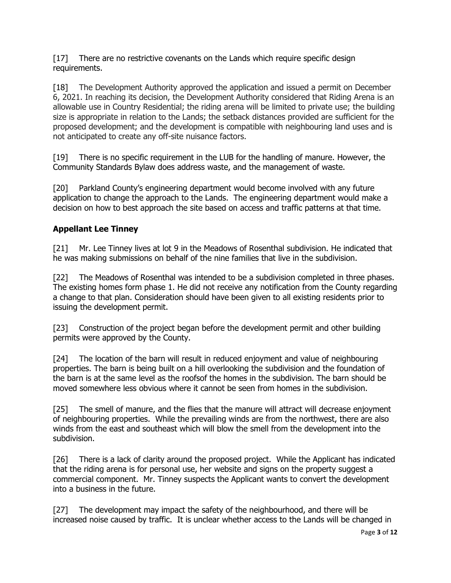[17] There are no restrictive covenants on the Lands which require specific design requirements.

[18] The Development Authority approved the application and issued a permit on December 6, 2021. In reaching its decision, the Development Authority considered that Riding Arena is an allowable use in Country Residential; the riding arena will be limited to private use; the building size is appropriate in relation to the Lands; the setback distances provided are sufficient for the proposed development; and the development is compatible with neighbouring land uses and is not anticipated to create any off-site nuisance factors.

[19] There is no specific requirement in the LUB for the handling of manure. However, the Community Standards Bylaw does address waste, and the management of waste.

[20] Parkland County's engineering department would become involved with any future application to change the approach to the Lands. The engineering department would make a decision on how to best approach the site based on access and traffic patterns at that time.

# **Appellant Lee Tinney**

[21] Mr. Lee Tinney lives at lot 9 in the Meadows of Rosenthal subdivision. He indicated that he was making submissions on behalf of the nine families that live in the subdivision.

[22] The Meadows of Rosenthal was intended to be a subdivision completed in three phases. The existing homes form phase 1. He did not receive any notification from the County regarding a change to that plan. Consideration should have been given to all existing residents prior to issuing the development permit.

[23] Construction of the project began before the development permit and other building permits were approved by the County.

[24] The location of the barn will result in reduced enjoyment and value of neighbouring properties. The barn is being built on a hill overlooking the subdivision and the foundation of the barn is at the same level as the roofsof the homes in the subdivision. The barn should be moved somewhere less obvious where it cannot be seen from homes in the subdivision.

[25] The smell of manure, and the flies that the manure will attract will decrease enjoyment of neighbouring properties. While the prevailing winds are from the northwest, there are also winds from the east and southeast which will blow the smell from the development into the subdivision.

[26] There is a lack of clarity around the proposed project. While the Applicant has indicated that the riding arena is for personal use, her website and signs on the property suggest a commercial component. Mr. Tinney suspects the Applicant wants to convert the development into a business in the future.

[27] The development may impact the safety of the neighbourhood, and there will be increased noise caused by traffic. It is unclear whether access to the Lands will be changed in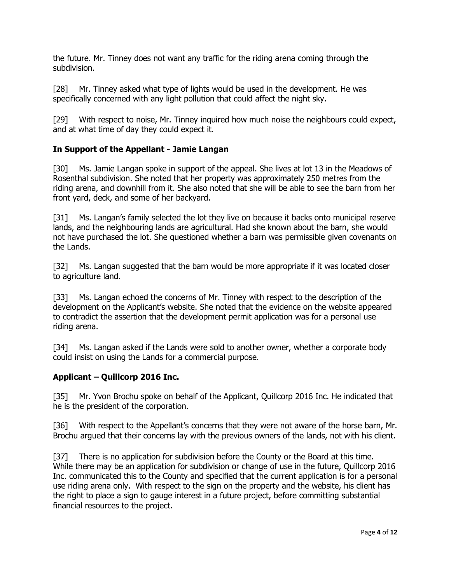the future. Mr. Tinney does not want any traffic for the riding arena coming through the subdivision.

[28] Mr. Tinney asked what type of lights would be used in the development. He was specifically concerned with any light pollution that could affect the night sky.

[29] With respect to noise, Mr. Tinney inquired how much noise the neighbours could expect, and at what time of day they could expect it.

### **In Support of the Appellant - Jamie Langan**

[30] Ms. Jamie Langan spoke in support of the appeal. She lives at lot 13 in the Meadows of Rosenthal subdivision. She noted that her property was approximately 250 metres from the riding arena, and downhill from it. She also noted that she will be able to see the barn from her front yard, deck, and some of her backyard.

[31] Ms. Langan's family selected the lot they live on because it backs onto municipal reserve lands, and the neighbouring lands are agricultural. Had she known about the barn, she would not have purchased the lot. She questioned whether a barn was permissible given covenants on the Lands.

[32] Ms. Langan suggested that the barn would be more appropriate if it was located closer to agriculture land.

[33] Ms. Langan echoed the concerns of Mr. Tinney with respect to the description of the development on the Applicant's website. She noted that the evidence on the website appeared to contradict the assertion that the development permit application was for a personal use riding arena.

[34] Ms. Langan asked if the Lands were sold to another owner, whether a corporate body could insist on using the Lands for a commercial purpose.

#### **Applicant – Quillcorp 2016 Inc.**

[35] Mr. Yvon Brochu spoke on behalf of the Applicant, Quillcorp 2016 Inc. He indicated that he is the president of the corporation.

[36] With respect to the Appellant's concerns that they were not aware of the horse barn, Mr. Brochu argued that their concerns lay with the previous owners of the lands, not with his client.

[37] There is no application for subdivision before the County or the Board at this time. While there may be an application for subdivision or change of use in the future, Quillcorp 2016 Inc. communicated this to the County and specified that the current application is for a personal use riding arena only. With respect to the sign on the property and the website, his client has the right to place a sign to gauge interest in a future project, before committing substantial financial resources to the project.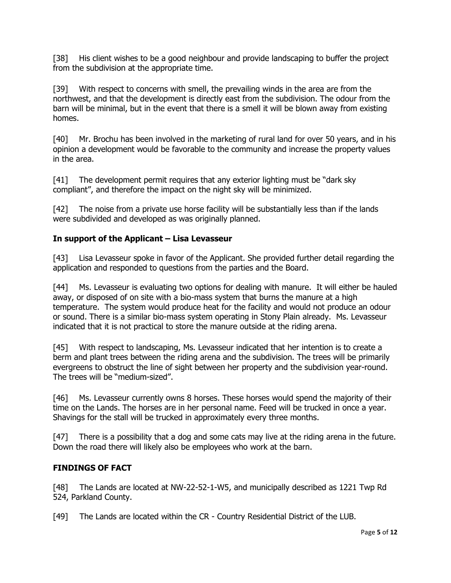[38] His client wishes to be a good neighbour and provide landscaping to buffer the project from the subdivision at the appropriate time.

[39] With respect to concerns with smell, the prevailing winds in the area are from the northwest, and that the development is directly east from the subdivision. The odour from the barn will be minimal, but in the event that there is a smell it will be blown away from existing homes.

[40] Mr. Brochu has been involved in the marketing of rural land for over 50 years, and in his opinion a development would be favorable to the community and increase the property values in the area.

[41] The development permit requires that any exterior lighting must be "dark sky compliant", and therefore the impact on the night sky will be minimized.

[42] The noise from a private use horse facility will be substantially less than if the lands were subdivided and developed as was originally planned.

# **In support of the Applicant – Lisa Levasseur**

[43] Lisa Levasseur spoke in favor of the Applicant. She provided further detail regarding the application and responded to questions from the parties and the Board.

[44] Ms. Levasseur is evaluating two options for dealing with manure. It will either be hauled away, or disposed of on site with a bio-mass system that burns the manure at a high temperature. The system would produce heat for the facility and would not produce an odour or sound. There is a similar bio-mass system operating in Stony Plain already. Ms. Levasseur indicated that it is not practical to store the manure outside at the riding arena.

[45] With respect to landscaping, Ms. Levasseur indicated that her intention is to create a berm and plant trees between the riding arena and the subdivision. The trees will be primarily evergreens to obstruct the line of sight between her property and the subdivision year-round. The trees will be "medium-sized".

[46] Ms. Levasseur currently owns 8 horses. These horses would spend the majority of their time on the Lands. The horses are in her personal name. Feed will be trucked in once a year. Shavings for the stall will be trucked in approximately every three months.

[47] There is a possibility that a dog and some cats may live at the riding arena in the future. Down the road there will likely also be employees who work at the barn.

## **FINDINGS OF FACT**

[48] The Lands are located at NW-22-52-1-W5, and municipally described as 1221 Twp Rd 524, Parkland County.

[49] The Lands are located within the CR - Country Residential District of the LUB.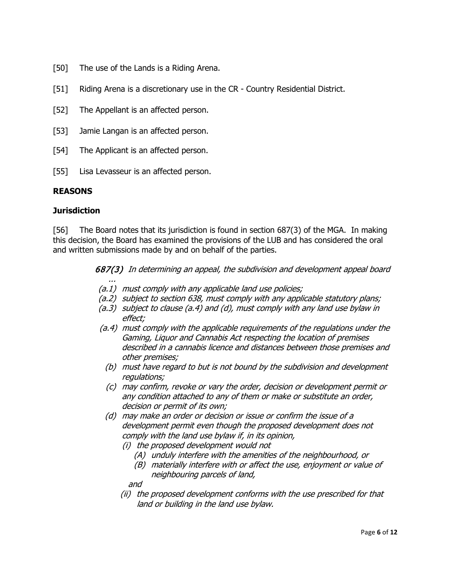- [50] The use of the Lands is a Riding Arena.
- [51] Riding Arena is a discretionary use in the CR Country Residential District.
- [52] The Appellant is an affected person.
- [53] Jamie Langan is an affected person.
- [54] The Applicant is an affected person.
- [55] Lisa Levasseur is an affected person.

...

### **REASONS**

#### **Jurisdiction**

[56] The Board notes that its jurisdiction is found in section 687(3) of the MGA. In making this decision, the Board has examined the provisions of the LUB and has considered the oral and written submissions made by and on behalf of the parties.

687(3) In determining an appeal, the subdivision and development appeal board

- (a.1) must comply with any applicable land use policies;
- (a.2) subject to section 638, must comply with any applicable statutory plans;
- (a.3) subject to clause (a.4) and (d), must comply with any land use bylaw in effect;
- (a.4) must comply with the applicable requirements of the regulations under the Gaming, Liquor and Cannabis Act respecting the location of premises described in a cannabis licence and distances between those premises and other premises;
	- (b) must have regard to but is not bound by the subdivision and development regulations;
	- (c) may confirm, revoke or vary the order, decision or development permit or any condition attached to any of them or make or substitute an order, decision or permit of its own;
	- (d) may make an order or decision or issue or confirm the issue of a development permit even though the proposed development does not comply with the land use bylaw if, in its opinion,
		- (i) the proposed development would not
			- (A) unduly interfere with the amenities of the neighbourhood, or
			- (B) materially interfere with or affect the use, enjoyment or value of neighbouring parcels of land,

and

(ii) the proposed development conforms with the use prescribed for that land or building in the land use bylaw.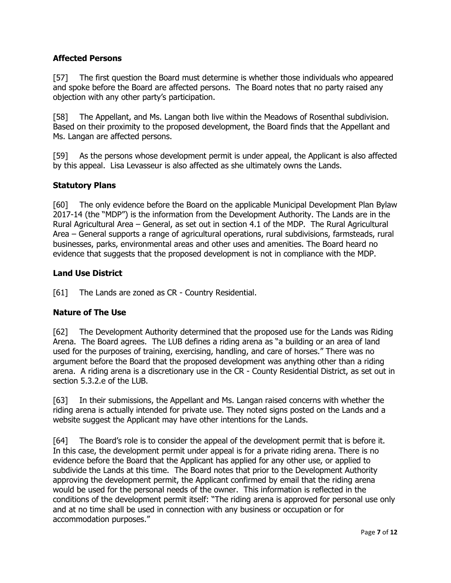### **Affected Persons**

[57] The first question the Board must determine is whether those individuals who appeared and spoke before the Board are affected persons. The Board notes that no party raised any objection with any other party's participation.

[58] The Appellant, and Ms. Langan both live within the Meadows of Rosenthal subdivision. Based on their proximity to the proposed development, the Board finds that the Appellant and Ms. Langan are affected persons.

[59] As the persons whose development permit is under appeal, the Applicant is also affected by this appeal. Lisa Levasseur is also affected as she ultimately owns the Lands.

#### **Statutory Plans**

[60] The only evidence before the Board on the applicable Municipal Development Plan Bylaw 2017-14 (the "MDP") is the information from the Development Authority. The Lands are in the Rural Agricultural Area – General, as set out in section 4.1 of the MDP. The Rural Agricultural Area – General supports a range of agricultural operations, rural subdivisions, farmsteads, rural businesses, parks, environmental areas and other uses and amenities. The Board heard no evidence that suggests that the proposed development is not in compliance with the MDP.

#### **Land Use District**

[61] The Lands are zoned as CR - Country Residential.

#### **Nature of The Use**

[62] The Development Authority determined that the proposed use for the Lands was Riding Arena. The Board agrees. The LUB defines a riding arena as "a building or an area of land used for the purposes of training, exercising, handling, and care of horses." There was no argument before the Board that the proposed development was anything other than a riding arena. A riding arena is a discretionary use in the CR - County Residential District, as set out in section 5.3.2.e of the LUB.

[63] In their submissions, the Appellant and Ms. Langan raised concerns with whether the riding arena is actually intended for private use. They noted signs posted on the Lands and a website suggest the Applicant may have other intentions for the Lands.

[64] The Board's role is to consider the appeal of the development permit that is before it. In this case, the development permit under appeal is for a private riding arena. There is no evidence before the Board that the Applicant has applied for any other use, or applied to subdivide the Lands at this time. The Board notes that prior to the Development Authority approving the development permit, the Applicant confirmed by email that the riding arena would be used for the personal needs of the owner. This information is reflected in the conditions of the development permit itself: "The riding arena is approved for personal use only and at no time shall be used in connection with any business or occupation or for accommodation purposes."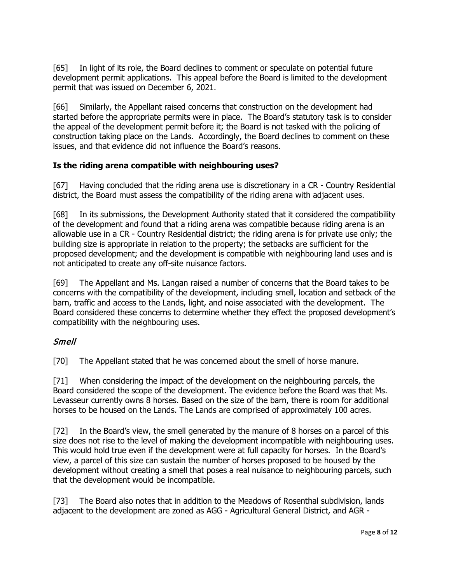[65] In light of its role, the Board declines to comment or speculate on potential future development permit applications. This appeal before the Board is limited to the development permit that was issued on December 6, 2021.

[66] Similarly, the Appellant raised concerns that construction on the development had started before the appropriate permits were in place. The Board's statutory task is to consider the appeal of the development permit before it; the Board is not tasked with the policing of construction taking place on the Lands. Accordingly, the Board declines to comment on these issues, and that evidence did not influence the Board's reasons.

## **Is the riding arena compatible with neighbouring uses?**

[67] Having concluded that the riding arena use is discretionary in a CR - Country Residential district, the Board must assess the compatibility of the riding arena with adjacent uses.

[68] In its submissions, the Development Authority stated that it considered the compatibility of the development and found that a riding arena was compatible because riding arena is an allowable use in a CR - Country Residential district; the riding arena is for private use only; the building size is appropriate in relation to the property; the setbacks are sufficient for the proposed development; and the development is compatible with neighbouring land uses and is not anticipated to create any off-site nuisance factors.

[69] The Appellant and Ms. Langan raised a number of concerns that the Board takes to be concerns with the compatibility of the development, including smell, location and setback of the barn, traffic and access to the Lands, light, and noise associated with the development. The Board considered these concerns to determine whether they effect the proposed development's compatibility with the neighbouring uses.

## Smell

[70] The Appellant stated that he was concerned about the smell of horse manure.

[71] When considering the impact of the development on the neighbouring parcels, the Board considered the scope of the development. The evidence before the Board was that Ms. Levasseur currently owns 8 horses. Based on the size of the barn, there is room for additional horses to be housed on the Lands. The Lands are comprised of approximately 100 acres.

[72] In the Board's view, the smell generated by the manure of 8 horses on a parcel of this size does not rise to the level of making the development incompatible with neighbouring uses. This would hold true even if the development were at full capacity for horses. In the Board's view, a parcel of this size can sustain the number of horses proposed to be housed by the development without creating a smell that poses a real nuisance to neighbouring parcels, such that the development would be incompatible.

[73] The Board also notes that in addition to the Meadows of Rosenthal subdivision, lands adjacent to the development are zoned as AGG - Agricultural General District, and AGR -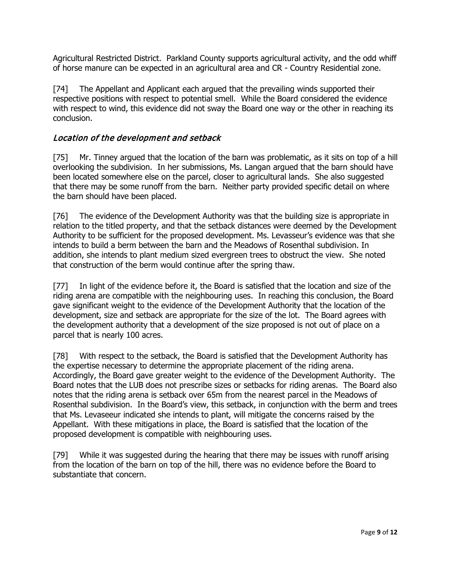Agricultural Restricted District. Parkland County supports agricultural activity, and the odd whiff of horse manure can be expected in an agricultural area and CR - Country Residential zone.

[74] The Appellant and Applicant each argued that the prevailing winds supported their respective positions with respect to potential smell. While the Board considered the evidence with respect to wind, this evidence did not sway the Board one way or the other in reaching its conclusion.

## Location of the development and setback

[75] Mr. Tinney argued that the location of the barn was problematic, as it sits on top of a hill overlooking the subdivision. In her submissions, Ms. Langan argued that the barn should have been located somewhere else on the parcel, closer to agricultural lands. She also suggested that there may be some runoff from the barn. Neither party provided specific detail on where the barn should have been placed.

[76] The evidence of the Development Authority was that the building size is appropriate in relation to the titled property, and that the setback distances were deemed by the Development Authority to be sufficient for the proposed development. Ms. Levasseur's evidence was that she intends to build a berm between the barn and the Meadows of Rosenthal subdivision. In addition, she intends to plant medium sized evergreen trees to obstruct the view. She noted that construction of the berm would continue after the spring thaw.

[77] In light of the evidence before it, the Board is satisfied that the location and size of the riding arena are compatible with the neighbouring uses. In reaching this conclusion, the Board gave significant weight to the evidence of the Development Authority that the location of the development, size and setback are appropriate for the size of the lot. The Board agrees with the development authority that a development of the size proposed is not out of place on a parcel that is nearly 100 acres.

[78] With respect to the setback, the Board is satisfied that the Development Authority has the expertise necessary to determine the appropriate placement of the riding arena. Accordingly, the Board gave greater weight to the evidence of the Development Authority. The Board notes that the LUB does not prescribe sizes or setbacks for riding arenas. The Board also notes that the riding arena is setback over 65m from the nearest parcel in the Meadows of Rosenthal subdivision. In the Board's view, this setback, in conjunction with the berm and trees that Ms. Levaseeur indicated she intends to plant, will mitigate the concerns raised by the Appellant. With these mitigations in place, the Board is satisfied that the location of the proposed development is compatible with neighbouring uses.

[79] While it was suggested during the hearing that there may be issues with runoff arising from the location of the barn on top of the hill, there was no evidence before the Board to substantiate that concern.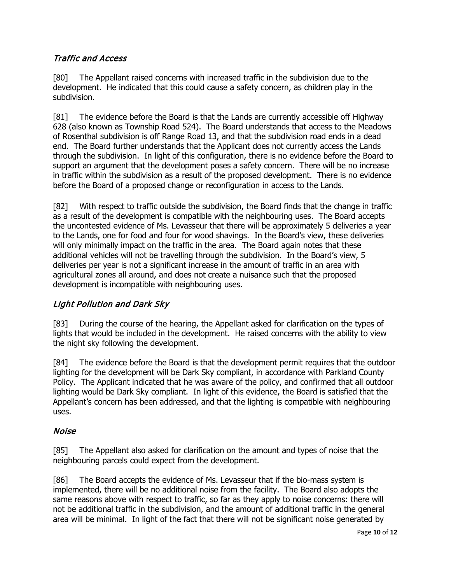# Traffic and Access

[80] The Appellant raised concerns with increased traffic in the subdivision due to the development. He indicated that this could cause a safety concern, as children play in the subdivision.

[81] The evidence before the Board is that the Lands are currently accessible off Highway 628 (also known as Township Road 524). The Board understands that access to the Meadows of Rosenthal subdivision is off Range Road 13, and that the subdivision road ends in a dead end. The Board further understands that the Applicant does not currently access the Lands through the subdivision. In light of this configuration, there is no evidence before the Board to support an argument that the development poses a safety concern. There will be no increase in traffic within the subdivision as a result of the proposed development. There is no evidence before the Board of a proposed change or reconfiguration in access to the Lands.

[82] With respect to traffic outside the subdivision, the Board finds that the change in traffic as a result of the development is compatible with the neighbouring uses. The Board accepts the uncontested evidence of Ms. Levasseur that there will be approximately 5 deliveries a year to the Lands, one for food and four for wood shavings. In the Board's view, these deliveries will only minimally impact on the traffic in the area. The Board again notes that these additional vehicles will not be travelling through the subdivision. In the Board's view, 5 deliveries per year is not a significant increase in the amount of traffic in an area with agricultural zones all around, and does not create a nuisance such that the proposed development is incompatible with neighbouring uses.

## Light Pollution and Dark Sky

[83] During the course of the hearing, the Appellant asked for clarification on the types of lights that would be included in the development. He raised concerns with the ability to view the night sky following the development.

[84] The evidence before the Board is that the development permit requires that the outdoor lighting for the development will be Dark Sky compliant, in accordance with Parkland County Policy. The Applicant indicated that he was aware of the policy, and confirmed that all outdoor lighting would be Dark Sky compliant. In light of this evidence, the Board is satisfied that the Appellant's concern has been addressed, and that the lighting is compatible with neighbouring uses.

## Noise

[85] The Appellant also asked for clarification on the amount and types of noise that the neighbouring parcels could expect from the development.

[86] The Board accepts the evidence of Ms. Levasseur that if the bio-mass system is implemented, there will be no additional noise from the facility. The Board also adopts the same reasons above with respect to traffic, so far as they apply to noise concerns: there will not be additional traffic in the subdivision, and the amount of additional traffic in the general area will be minimal. In light of the fact that there will not be significant noise generated by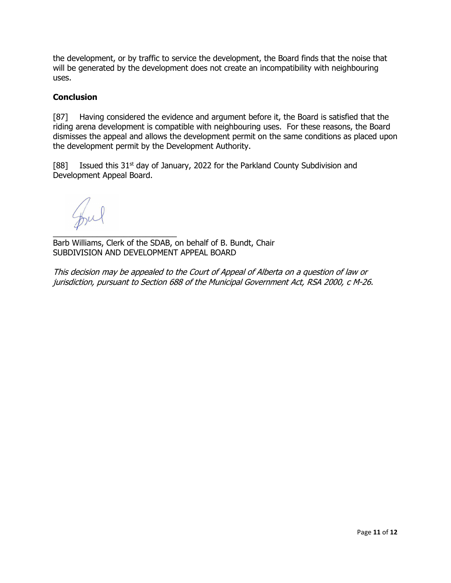the development, or by traffic to service the development, the Board finds that the noise that will be generated by the development does not create an incompatibility with neighbouring uses.

#### **Conclusion**

[87] Having considered the evidence and argument before it, the Board is satisfied that the riding arena development is compatible with neighbouring uses. For these reasons, the Board dismisses the appeal and allows the development permit on the same conditions as placed upon the development permit by the Development Authority.

[88] Issued this  $31^{st}$  day of January, 2022 for the Parkland County Subdivision and Development Appeal Board.

Inel

 $\mathcal{L}_\text{max}$  , which is a set of the set of the set of the set of the set of the set of the set of the set of the set of the set of the set of the set of the set of the set of the set of the set of the set of the set of Barb Williams, Clerk of the SDAB, on behalf of B. Bundt, Chair SUBDIVISION AND DEVELOPMENT APPEAL BOARD

This decision may be appealed to the Court of Appeal of Alberta on a question of law or jurisdiction, pursuant to Section 688 of the Municipal Government Act, RSA 2000, c M-26.